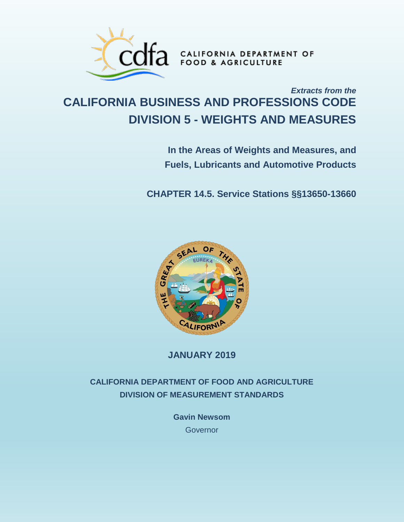

**a** CALIFORNIA DEPARTMENT OF

# *Extracts from the* **CALIFORNIA BUSINESS AND PROFESSIONS CODE DIVISION 5 - WEIGHTS AND MEASURES**

**In the Areas of Weights and Measures, and Fuels, Lubricants and Automotive Products**

**CHAPTER 14.5. Service Stations §§13650-13660**



**JANUARY 2019**

**CALIFORNIA DEPARTMENT OF FOOD AND AGRICULTURE DIVISION OF MEASUREMENT STANDARDS**

**Gavin Newsom**

**Governor**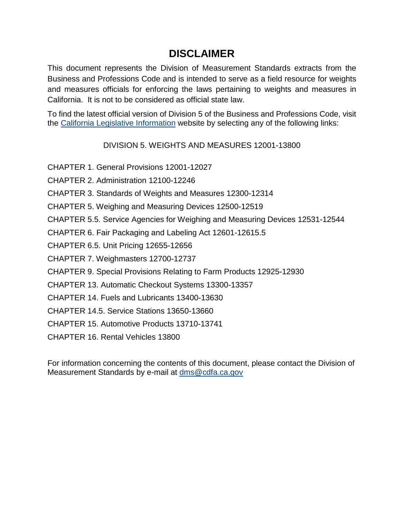# **DISCLAIMER**

This document represents the Division of Measurement Standards extracts from the Business and Professions Code and is intended to serve as a field resource for weights and measures officials for enforcing the laws pertaining to weights and measures in California. It is not to be considered as official state law.

To find the latest official version of Division 5 of the Business and Professions Code, visit the [California Legislative Information](http://leginfo.legislature.ca.gov/faces/codesTOCSelected.xhtml?tocCode=BPC&tocTitle=+Business+and+Professions+Code+-+BPC) website by selecting any of the following links:

## DIVISION 5. WEIGHTS AND MEASURES [12001-13800](http://leginfo.legislature.ca.gov/faces/codes_displayexpandedbranch.xhtml?tocCode=BPC&division=5.&title=&part=&chapter=&article=)

CHAPTER 1. General Provisions [12001-12027](http://leginfo.legislature.ca.gov/faces/codes_displayText.xhtml?lawCode=BPC&division=5.&title=&part=&chapter=1.&article=)

CHAPTER 2. [Administration](http://leginfo.legislature.ca.gov/faces/codes_displayexpandedbranch.xhtml?tocCode=BPC&division=5.&title=&part=&chapter=2.&article=) 12100-12246

CHAPTER 3. Standards of Weights and Measures [12300-12314](http://leginfo.legislature.ca.gov/faces/codes_displayText.xhtml?lawCode=BPC&division=5.&title=&part=&chapter=3.&article=)

CHAPTER 5. Weighing and Measuring Devices [12500-12519](http://leginfo.legislature.ca.gov/faces/codes_displayText.xhtml?lawCode=BPC&division=5.&title=&part=&chapter=5.&article=)

CHAPTER 5.5. Service Agencies for Weighing and Measuring Devices [12531-12544](http://leginfo.legislature.ca.gov/faces/codes_displayexpandedbranch.xhtml?tocCode=BPC&division=5.&title=&part=&chapter=5.5.&article=)

CHAPTER 6. Fair Packaging and Labeling Act [12601-12615.5](http://leginfo.legislature.ca.gov/faces/codes_displayText.xhtml?lawCode=BPC&division=5.&title=&part=&chapter=6.&article=)

CHAPTER 6.5. Unit Pricing [12655-12656](http://leginfo.legislature.ca.gov/faces/codes_displayText.xhtml?lawCode=BPC&division=5.&title=&part=&chapter=6.5.&article=)

CHAPTER 7. [Weighmasters](http://leginfo.legislature.ca.gov/faces/codes_displayText.xhtml?lawCode=BPC&division=5.&title=&part=&chapter=7.&article=) 12700-12737

CHAPTER 9. Special Provisions Relating to Farm Products [12925-12930](http://leginfo.legislature.ca.gov/faces/codes_displayexpandedbranch.xhtml?tocCode=BPC&division=5.&title=&part=&chapter=9.&article=)

CHAPTER 13. Automatic Checkout Systems [13300-13357](http://leginfo.legislature.ca.gov/faces/codes_displayexpandedbranch.xhtml?tocCode=BPC&division=5.&title=&part=&chapter=13.&article=)

CHAPTER 14. [Fuels and Lubricants](http://leginfo.legislature.ca.gov/faces/codes_displayexpandedbranch.xhtml?tocCode=BPC&division=5.&title=&part=&chapter=14.&article=) 13400-13630

CHAPTER 14.5. Service Stations [13650-13660](http://leginfo.legislature.ca.gov/faces/codes_displayText.xhtml?lawCode=BPC&division=5.&title=&part=&chapter=14.5.&article=)

CHAPTER 15. Automotive Products [13710-13741](http://leginfo.legislature.ca.gov/faces/codes_displayexpandedbranch.xhtml?tocCode=BPC&division=5.&title=&part=&chapter=15.&article=)

[CHAPTER](http://leginfo.legislature.ca.gov/faces/codes_displayText.xhtml?lawCode=BPC&division=5.&title=&part=&chapter=16.&article=) 16. Rental Vehicles 13800

For information concerning the contents of this document, please contact the Division of Measurement Standards by e-mail at [dms@cdfa.ca.gov](mailto:dms@cdfa.ca.gov)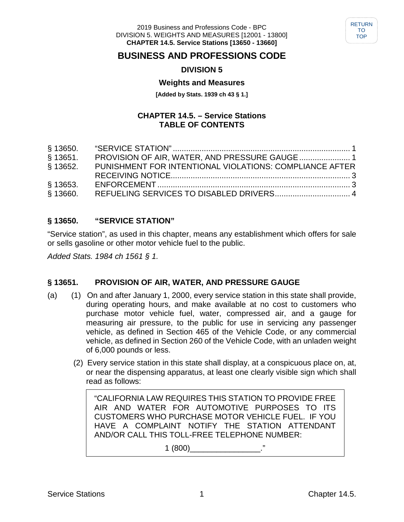

# **BUSINESS AND PROFESSIONS CODE**

### **DIVISION 5**

#### **Weights and Measures**

<span id="page-2-0"></span>**[Added by Stats. 1939 ch 43 § 1.]**

### **CHAPTER 14.5. – Service Stations TABLE OF CONTENTS**

| § 13651. |                                                         |
|----------|---------------------------------------------------------|
| § 13652. | PUNISHMENT FOR INTENTIONAL VIOLATIONS: COMPLIANCE AFTER |
|          |                                                         |
| § 13653. |                                                         |
| § 13660. |                                                         |

#### <span id="page-2-1"></span>**§ 13650. "SERVICE STATION"**

"Service station", as used in this chapter, means any establishment which offers for sale or sells gasoline or other motor vehicle fuel to the public.

*Added Stats. 1984 ch 1561 § 1.*

### <span id="page-2-2"></span>**§ 13651. PROVISION OF AIR, WATER, AND PRESSURE GAUGE**

- (a) (1) On and after January 1, 2000, every service station in this state shall provide, during operating hours, and make available at no cost to customers who purchase motor vehicle fuel, water, compressed air, and a gauge for measuring air pressure, to the public for use in servicing any passenger vehicle, as defined in Section 465 of the Vehicle Code, or any commercial vehicle, as defined in Section 260 of the Vehicle Code, with an unladen weight of 6,000 pounds or less.
	- (2) Every service station in this state shall display, at a conspicuous place on, at, or near the dispensing apparatus, at least one clearly visible sign which shall read as follows:

"CALIFORNIA LAW REQUIRES THIS STATION TO PROVIDE FREE AIR AND WATER FOR AUTOMOTIVE PURPOSES TO ITS CUSTOMERS WHO PURCHASE MOTOR VEHICLE FUEL. IF YOU HAVE A COMPLAINT NOTIFY THE STATION ATTENDANT AND/OR CALL THIS TOLL-FREE TELEPHONE NUMBER:

1 (800)\_\_\_\_\_\_\_\_\_\_\_\_\_\_\_\_."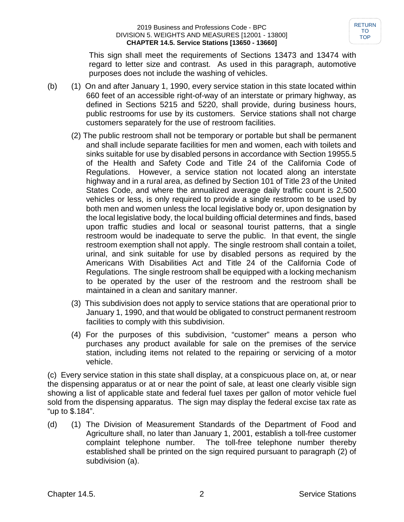This sign shall meet the requirements of Sections 13473 and 13474 with regard to letter size and contrast. As used in this paragraph, automotive purposes does not include the washing of vehicles.

- (b) (1) On and after January 1, 1990, every service station in this state located within 660 feet of an accessible right-of-way of an interstate or primary highway, as defined in Sections 5215 and 5220, shall provide, during business hours, public restrooms for use by its customers. Service stations shall not charge customers separately for the use of restroom facilities.
	- (2) The public restroom shall not be temporary or portable but shall be permanent and shall include separate facilities for men and women, each with toilets and sinks suitable for use by disabled persons in accordance with Section 19955.5 of the Health and Safety Code and Title 24 of the California Code of Regulations. However, a service station not located along an interstate highway and in a rural area, as defined by Section 101 of Title 23 of the United States Code, and where the annualized average daily traffic count is 2,500 vehicles or less, is only required to provide a single restroom to be used by both men and women unless the local legislative body or, upon designation by the local legislative body, the local building official determines and finds, based upon traffic studies and local or seasonal tourist patterns, that a single restroom would be inadequate to serve the public. In that event, the single restroom exemption shall not apply. The single restroom shall contain a toilet, urinal, and sink suitable for use by disabled persons as required by the Americans With Disabilities Act and Title 24 of the California Code of Regulations. The single restroom shall be equipped with a locking mechanism to be operated by the user of the restroom and the restroom shall be maintained in a clean and sanitary manner.
	- (3) This subdivision does not apply to service stations that are operational prior to January 1, 1990, and that would be obligated to construct permanent restroom facilities to comply with this subdivision.
	- (4) For the purposes of this subdivision, "customer" means a person who purchases any product available for sale on the premises of the service station, including items not related to the repairing or servicing of a motor vehicle.

(c) Every service station in this state shall display, at a conspicuous place on, at, or near the dispensing apparatus or at or near the point of sale, at least one clearly visible sign showing a list of applicable state and federal fuel taxes per gallon of motor vehicle fuel sold from the dispensing apparatus. The sign may display the federal excise tax rate as "up to \$.184".

(d) (1) The Division of Measurement Standards of the Department of Food and Agriculture shall, no later than January 1, 2001, establish a toll-free customer complaint telephone number. The toll-free telephone number thereby established shall be printed on the sign required pursuant to paragraph (2) of subdivision (a).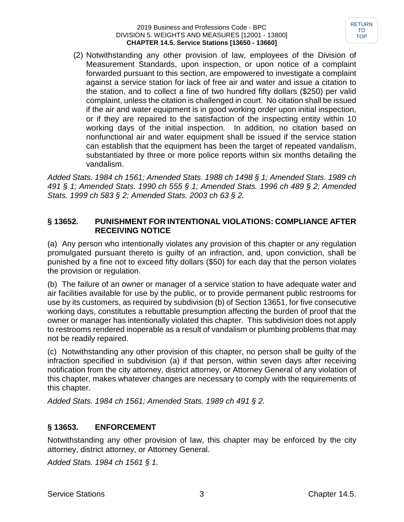#### 2019 Business and Professions Code - BPC DIVISION 5. WEIGHTS AND MEASURES [12001 - 13800] **CHAPTER 14.5. Service Stations [13650 - 13660]**



(2) Notwithstanding any other provision of law, employees of the Division of Measurement Standards, upon inspection, or upon notice of a complaint forwarded pursuant to this section, are empowered to investigate a complaint against a service station for lack of free air and water and issue a citation to the station, and to collect a fine of two hundred fifty dollars (\$250) per valid complaint, unless the citation is challenged in court. No citation shall be issued if the air and water equipment is in good working order upon initial inspection, or if they are repaired to the satisfaction of the inspecting entity within 10 working days of the initial inspection. In addition, no citation based on nonfunctional air and water equipment shall be issued if the service station can establish that the equipment has been the target of repeated vandalism, substantiated by three or more police reports within six months detailing the vandalism.

*Added Stats. 1984 ch 1561; Amended Stats. 1988 ch 1498 § 1; Amended Stats. 1989 ch 491 § 1; Amended Stats. 1990 ch 555 § 1; Amended Stats. 1996 ch 489 § 2; Amended Stats. 1999 ch 583 § 2; Amended Stats. 2003 ch 63 § 2.*

#### <span id="page-4-0"></span>**§ 13652. PUNISHMENT FOR INTENTIONAL VIOLATIONS: COMPLIANCE AFTER RECEIVING NOTICE**

(a) Any person who intentionally violates any provision of this chapter or any regulation promulgated pursuant thereto is guilty of an infraction, and, upon conviction, shall be punished by a fine not to exceed fifty dollars (\$50) for each day that the person violates the provision or regulation.

(b) The failure of an owner or manager of a service station to have adequate water and air facilities available for use by the public, or to provide permanent public restrooms for use by its customers, as required by subdivision (b) of Section 13651, for five consecutive working days, constitutes a rebuttable presumption affecting the burden of proof that the owner or manager has intentionally violated this chapter. This subdivision does not apply to restrooms rendered inoperable as a result of vandalism or plumbing problems that may not be readily repaired.

(c) Notwithstanding any other provision of this chapter, no person shall be guilty of the infraction specified in subdivision (a) if that person, within seven days after receiving notification from the city attorney, district attorney, or Attorney General of any violation of this chapter, makes whatever changes are necessary to comply with the requirements of this chapter.

*Added Stats. 1984 ch 1561; Amended Stats. 1989 ch 491 § 2.*

### <span id="page-4-1"></span>**§ 13653. ENFORCEMENT**

Notwithstanding any other provision of law, this chapter may be enforced by the city attorney, district attorney, or Attorney General.

*Added Stats. 1984 ch 1561 § 1.*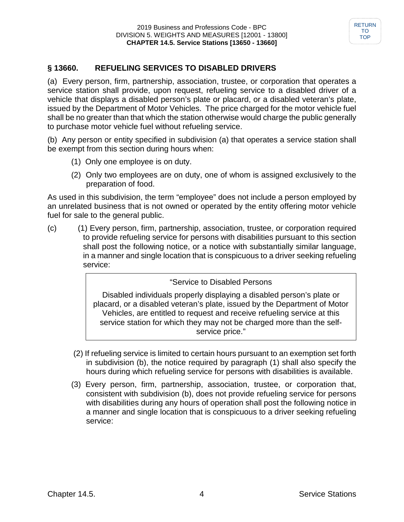

### <span id="page-5-0"></span>**§ 13660. REFUELING SERVICES TO DISABLED DRIVERS**

(a) Every person, firm, partnership, association, trustee, or corporation that operates a service station shall provide, upon request, refueling service to a disabled driver of a vehicle that displays a disabled person's plate or placard, or a disabled veteran's plate, issued by the Department of Motor Vehicles. The price charged for the motor vehicle fuel shall be no greater than that which the station otherwise would charge the public generally to purchase motor vehicle fuel without refueling service.

(b) Any person or entity specified in subdivision (a) that operates a service station shall be exempt from this section during hours when:

- (1) Only one employee is on duty.
- (2) Only two employees are on duty, one of whom is assigned exclusively to the preparation of food.

As used in this subdivision, the term "employee" does not include a person employed by an unrelated business that is not owned or operated by the entity offering motor vehicle fuel for sale to the general public.

(c) (1) Every person, firm, partnership, association, trustee, or corporation required to provide refueling service for persons with disabilities pursuant to this section shall post the following notice, or a notice with substantially similar language, in a manner and single location that is conspicuous to a driver seeking refueling service:

"Service to Disabled Persons

Disabled individuals properly displaying a disabled person's plate or placard, or a disabled veteran's plate, issued by the Department of Motor Vehicles, are entitled to request and receive refueling service at this service station for which they may not be charged more than the selfservice price."

- (2) If refueling service is limited to certain hours pursuant to an exemption set forth in subdivision (b), the notice required by paragraph (1) shall also specify the hours during which refueling service for persons with disabilities is available.
- (3) Every person, firm, partnership, association, trustee, or corporation that, consistent with subdivision (b), does not provide refueling service for persons with disabilities during any hours of operation shall post the following notice in a manner and single location that is conspicuous to a driver seeking refueling service: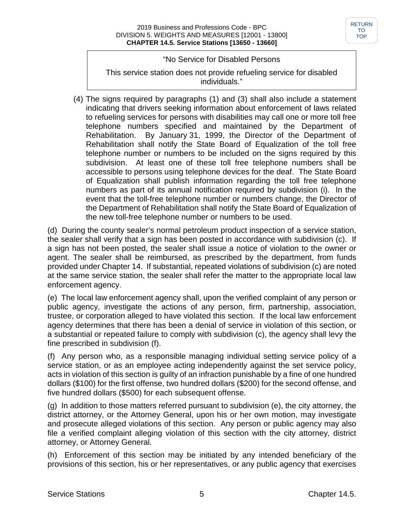

"No Service for Disabled Persons

This service station does not provide refueling service for disabled individuals."

(4) The signs required by paragraphs (1) and (3) shall also include a statement indicating that drivers seeking information about enforcement of laws related to refueling services for persons with disabilities may call one or more toll free telephone numbers specified and maintained by the Department of Rehabilitation. By January 31, 1999, the Director of the Department of Rehabilitation shall notify the State Board of Equalization of the toll free telephone number or numbers to be included on the signs required by this subdivision. At least one of these toll free telephone numbers shall be accessible to persons using telephone devices for the deaf. The State Board of Equalization shall publish information regarding the toll free telephone numbers as part of its annual notification required by subdivision (i). In the event that the toll-free telephone number or numbers change, the Director of the Department of Rehabilitation shall notify the State Board of Equalization of the new toll-free telephone number or numbers to be used.

(d) During the county sealer's normal petroleum product inspection of a service station, the sealer shall verify that a sign has been posted in accordance with subdivision (c). If a sign has not been posted, the sealer shall issue a notice of violation to the owner or agent. The sealer shall be reimbursed, as prescribed by the department, from funds provided under Chapter 14. If substantial, repeated violations of subdivision (c) are noted at the same service station, the sealer shall refer the matter to the appropriate local law enforcement agency.

(e) The local law enforcement agency shall, upon the verified complaint of any person or public agency, investigate the actions of any person, firm, partnership, association, trustee, or corporation alleged to have violated this section. If the local law enforcement agency determines that there has been a denial of service in violation of this section, or a substantial or repeated failure to comply with subdivision (c), the agency shall levy the fine prescribed in subdivision (f).

(f) Any person who, as a responsible managing individual setting service policy of a service station, or as an employee acting independently against the set service policy, acts in violation of this section is guilty of an infraction punishable by a fine of one hundred dollars (\$100) for the first offense, two hundred dollars (\$200) for the second offense, and five hundred dollars (\$500) for each subsequent offense.

(g) In addition to those matters referred pursuant to subdivision (e), the city attorney, the district attorney, or the Attorney General, upon his or her own motion, may investigate and prosecute alleged violations of this section. Any person or public agency may also file a verified complaint alleging violation of this section with the city attorney, district attorney, or Attorney General.

(h) Enforcement of this section may be initiated by any intended beneficiary of the provisions of this section, his or her representatives, or any public agency that exercises